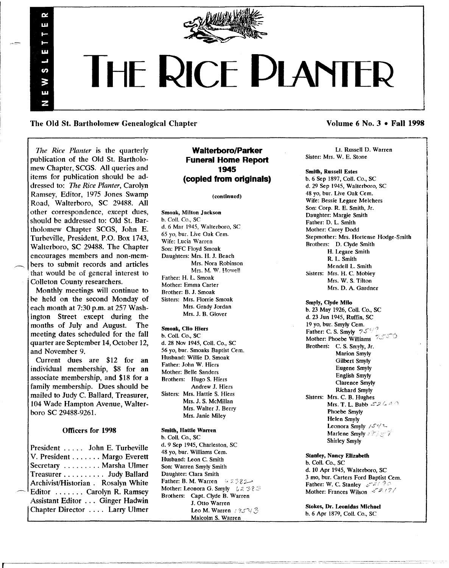

# **THE RICE DlANTER**

The Old St. Bartholomew Genealogical Chapter Volume 6 No. 3 • Fall 1998

*17w Rice Planter* is the quarterly publication of the Old St. Bartholomew Chapter, SCGS. All queries and items for publication should be addressed to: *The Rice Planter,* Carolyn Ramsey, Editor, 1975 Jones Swamp Road, Walterboro, SC 29488. All other correspondence, except dues, should be addressed to: Old St. Bartholomew Chapter SCGS, John E. Turbeville, President, P.O. Box 1743, Walterboro, SC 29488. The Chapter encourages members and non-members to submit records and articles that would be of general interest to . Colleton County researchers.

Ď. ш

jπ

S. ζ m ⋝

Monthly meetings will continue to be held on the second Monday of each month at 7:30 p.m. at 257 Washington Street except during the months of July and August. The months of July and August. meeting dates scheduled for the fall quarter are September 14, October 12, and November 9.

Current dues are \$12 for an individual membership, \$8 for an associate membership, and \$18 for a family membership. Dues should be mailed to Judy C. Ballard, Treasurer, 104 Wade Hampton Avenue, Walterboro SC 29488-9261.

#### Officers for 1998

President . . . .. John E. Turbeville V. President . . . . . . . Margo Everett Secretary ........ Marsha Ulmer Treasurer. . . . . . . . .. Judy Ballard Archivist/Historian. Rosalyn White Editor ....... Carolyn R. Ramsey Assistant Editor . .. Ginger Hadwin Chapter Director ., .. Larry Ulmer

#### **Walterboro/Parker Funeral Home Report 1945 (copied from originals)**

#### (continued)

Smoak, Milton Jackson b. ColI. Co., SC d. 6 Mar 1945, Walterboro, SC 65 yo, bur. Live Oak Cern. Wife: Lucia Warren Son: PFC Floyd Smoak Daughters: Mrs. H. J. Beach Mrs. Nora Robinson Mrs. M. W. Howell Father: H. L. Smoak Mother: Emma Carter Brother: B. J. Smoak Sisters: Mrs. Florrie Smoak Mrs. Grady Jordan Mrs. J. B. Glover

#### Smoak, Clio Hiers

b. CoIl. Co., SC d. 28 Nov 1945, CoIl. Co., SC 56 yo, bur. Smoaks Baptist Cern. Husband: Willie D. Smoak Father: John W. Hiers Mother: Belle Sanders Brothers: Hugo S. Hiers Andrew J. Hiers Sisters: Mrs. Hattie S. Hiers Mrs. J. S. McMillan Mrs. Walter J. Berry Mrs. Janie Miley

#### Smith, Hattie Warren

b. CoIl. Co., SC d. 9 Sep 1945, Charleston, SC 48 yo, bur. Williams Cem. Husband: Leon C. Smith Son: Warren Smyly Smith Daughter: Clara Smith Father: B. M. Warren  $: 3382-$ Mother: Leonora G. Smyly  $\forall z \in \mathcal{Z}$ Brothers: Capt. Clyde B. Warren J. Otto Warren Leo M. Warren *† 95*°43 Malcolm S. Warren

|<br>|<br>|<br>|

Lt. RusseIl D. Warren Sister: Mrs. W. E. Stone

#### Smith, Russell Estes

b. 6 Sep 1897, CoIl. Co., SC d. 29 Sep 1945, Walterboro, SC 48 yo, bur. Live Oak Cem. Wife: Bessie Legare Melchers Son: Corp. R. E. Smith, Jr. Daughter: Margie Smith Father: D. L. Smith Mother: Carey Dodd Stepmother: Mrs. Hortense Hodge-Smith Brothers: D. Clyde Smith H. Legare Smith R. L. Smith MendeIl L. Smith Sisters: Mrs. H. C. Mobley Mrs. W. S. Tilton Mrs. D. A. Gardner Smyly, Clyde Milo b. 23 May 1926, Coil. Co., SC d. 23 Jun 1945, Ruffin, SC 19 yo, bur. Smyly Cern. Father: C. S. Smyly  $75\%$ Mother: Phoebe Williams 7 Brothers: C. S. Smyly, Jr. Marion Smyly Gilbert Smyly Eugene Smyly English Smyly Clarence Smyly Richard Smyly Sisters: Mrs. C. B. Hughes Mrs. T. L. Babb  $17260$ Phoebe Smyly

> Helen Smyly Leonora Smyly */S'(1\_* Marlene Smyly 199357 Shirley Smyly

Stanley, Nancy Elizabeth b. CoIl. Co., SC d. 10 Apr 1945, Walterboro, SC 3 mo, bur. Carters Ford Baptist Cern. Father: W. C. Stanley  $e^{-x^2/5}$ Mother: Frances Wilson  $\sqrt{2}/7/$ 

Stokes, Dr. leonidas Michael b. 6 Apr 1879, Coil. Co., SC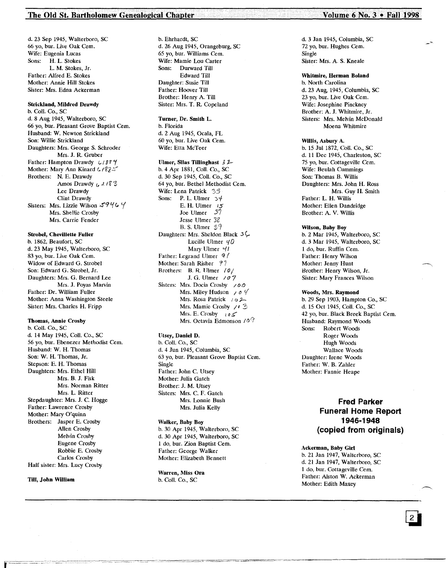#### The Old St. Bartholomew Genealogical Chapter<sup>1</sup> 1998 **Volume 6 No. 3 • Fall 1998**

d. 23 Sep 1945, Walterboro, SC 66 yo, bur. Live Oak Cern. Wife: Eugenia Lucas Sons: H. L. Stokes L. M. Stokes, Jr. Father: Alfred E. Stokes Mother: Annie Hill Stokes Sister: Mrs. Edna Ackerman

#### Strickland, Mildred Drawdy

b. Coli. Co., SC d. 8 Aug 1945, Walterboro, SC 66 yo, bur. Pleasant Grove Baptist Cern. Husband: W. Newton Strickland Son: Willie Strickland Daughters: Mrs. George S. Schroder Mrs. J. R. Gruber Father: Hampton Drawdy 41884 Mother: Mary Ann Kinard 6 / 82<sup>26</sup> Brothers: N. E. Drawdy Amos Drawdy  $6.4183$ Lee Drawdy Clint Drawdy Sisters: Mrs. Lizzie Wilson  $59464$ Mrs. SheHie Crosby Mrs. Carrie Fender

#### Strobel, Chevillette Fuller

b. 1862, Beaufort, SC d. 23 May 1945, Walterboro, SC 83 yo, bur. Live Oak Cem. Widow of Edward G. Strobel Son: Edward G. Strobel, Jr. Daughters: Mrs. G. Bernard Lee Mrs. J. Poyas Marvin Father: Dr. William Fuller Mother: Anna Washington Steele Sister: Mrs. Charles H. Fripp

#### Thomas, Annie Crosby

b. Coli. Co., SC d. 14 May 1945, Coli. Co., SC 56 yo, bur. Ebenezer Methodist Cem. Husband: W. H. Thomas Son: W. H. Thomas, Jr. Stepson: E. H. Thomas Daughters: Mrs. Ethel Hill Mrs. B. J. Fisk Mrs. Norman Ritter Mrs. L. Ritter Stepdaughter: Mrs. J. C. Hogge Father: Lawrence Crosby Mother: Mary O'quinn Brothers: Jasper E. Crosby Allen Crosby Melvin Crosby Eugene Crosby Robbie E. Crosby Carlos Crosby Half sister: Mrs. Lucy Crosby

#### Till, John William

b. Ehrhardt, SC d. 26 Aug 1945, Orangeburg, SC 65 yo, bur. Williams Cem. Wife: Mamie Lou Carter Sons: Durward Till Edward Till Daughter: Susie Till Father: Hoover Till Brother: Henry A. Till Sister: Mrs. T. R. Copeland

#### Turner, Dr. Smith L. b. Florida d. 2 Aug 1945, Ocala, FL 60 yo, bur. Live Oak Cern. Wife: Etta McTeer

#### Ulmer, Silas Tillinghast  $\beta$  2

b. 4 Apr 1881, CoIl. Co., SC d. 30 Sep 1945, Coli. Co., SC 64 yo, bur. Bethel Methodist Cem. Wife: Lena Patrick 33 Sons: P. L. Ulmer  $34$ E. H. Ulmer  $15$ Joe Ulmer 37 Jesse Ulmer J8' B. S. Ulmer 39 Daughters: Mrs. Sheldon Black  $3\sqrt{ }$ Lucille Ulmer  $40$ Mary Ulmer  $41$ Father: Legrand Ulmer *q!* Mother: Sarah Risher 97 Brothers: B. R. Ulmer / 0/ J. G. Ulmer *101* Sisters: Mrs. Docia Crosby  $\angle$ 00 Mrs. Miley Hudson 10<sup>4</sup> Mrs. Rosa Patrick  $/9$ Mrs. Mamie Crosby / <sup>\*</sup>3 Mrs. E. Crosbv II) *s:* Mrs. Octavia Edmonson 10<sup>2</sup>

#### Utsey, Daniel D.

b. Coli. Co., SC d. 4 Jun 1945, Columbia, SC 63 yo, bur. Pleasant Grove Baptist Cem. Single Father: John C. Utsey Mother: Julia Gatch Brother: J. M. Utsey Sisters: Mrs. C. F. Gatch Mrs. Lonnie Bush Mrs. Julia Kelly

#### Walker, Baby Boy b. 30 Apr 1945, Walterboro, SC d. 30 Apr 1945, Walterboro, SC 1 do, bur. Zion Baptist Cem. Father: George Walker Mother: Elizabeth Bennett

Warren, Miss Ora b. Call. Co., SC

d. 3 Jan 1945, Columbia, SC 72 yo, bur. Hughes Cern. Single Sister: Mrs. A. S. Kneale

#### Whitmire, Herman Boland

b. North Carolina d. 23 Aug, 1945, Columbia, SC 23 yo, bur. Live Oak Cern. Wife: Josephine Pinckney Brother: A. J. Whitmire, Jr. Sisters: Mrs. Melvin McDonald Moena Whitmire

#### Willis, Asbury A.

b. 15 Jul 1872, Coli. Co., SC d. 11 Dec 1945, Charleston, SC 75 yo, bur. Cottageville Cem. Wife: Beulah Cummings Son: Thomas B. Willis Daughters: Mrs. John H. Ross Mrs. Guy H. Smith Father: L. H. Willis Mother: Ellen Dandridge Brother: A. V. Willis

#### Wilson, Baby Boy

b. 2 Mar 1945, Walterboro, SC d. 3 Mar 1945, Walterboro, SC 1 do, bur. Ruffin Cern. Father: Henry Wilson Mother: Jenny Hunt Brother: Hemy Wilson, Jr. Sister: Mary Frances Wilson

#### Woods, Mrs. Raymond

b. 29 Sep 1903, Hampton Co., SC d. 15 Oct 1945, Coli. Co., SC 42 yo, bur. Black Breek Baptist Cem. Husband: Raymond Woods<br>Sons: Robert Woods Robert Woods Roger Woods Hugh Woods Wallace Woods Daughter: Irene Woods Father: W. B. zahler Mother: Fannie Heape

## **Fred Parker Funeral Home Report 1946-1948 (copied from originals)**

#### Ackerman, Baby Girl

b. 21 Jan 1947, Walterboro, SC d. 21 Jan 1947, Walterboro, SC 1 do, bur. Cottageville Cern. Father: Alston W. Ackerman Mother: Edith Maxey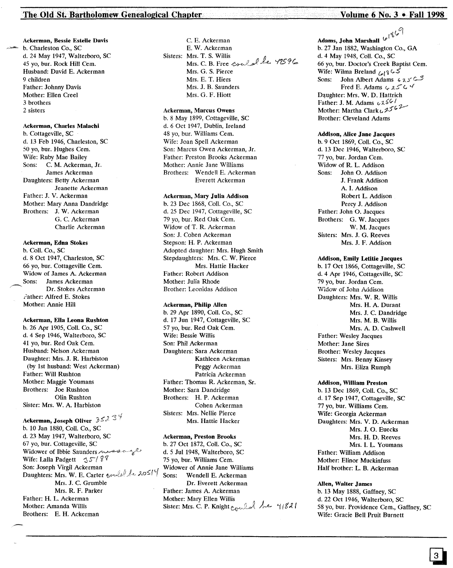#### The Old St. Bartholomew Genealogical Chapter Volume 6. No. 3 . Fall 1998

#### Ackerman, Bessie Estelle Davis

b. Charleston Co., SC d. 24 May 1947, Walterboro, SC 45 yo, bur. Rock Hill Cern. Husband: David E. Ackerman 9 children Father: Johnny Davis Mother: Ellen Creel 3 brothers 2 sisters

#### Ackerman, Charles Malachi

b. Cottageville, SC d. 13 Feb 1946, Charleston, SC 50 yo, bur. Hughes Cern. Wife: Ruby Mae Bailey<br>Sons: C. M. Ackerma C. M. Ackerman, Jr. James Ackerman Daughters: Betty Ackerman Jeanette Ackerman Father: J. V. Ackerman Mother: Mary Anna Dandridge Brothers: J. W. Ackerman G. C. Ackerman Charlie Ackerman

#### Ackerman, Edna Stokes

b. Coli. Co., SC d. 8 Oct 1947, Charleston, SC 66 yo, bur. Cottageville Cern. Widow of James A. Ackerman Sons: James Ackerman Dr. Stokes Ackerman Father: Alfred E. Stokes Mother: Annie Hill

#### Ackerman, Ella Leona Rushton

b. 26 Apr 1905, Coli. Co., SC d.4 Sep 1946, Walterboro, SC 41 vo, bur. Red Oak Cem. Husband: Nelson Ackerman Daughter: Mrs. J. R. Harbiston (by 1st husband: West Ackerman) Father: Will Rushton Mother: Maggie Youmans Brothers: Joe Rushton Olin Rushton Sister: Mrs. W. A. Harbiston

# Ackerman, Joseph Oliver  $352$   $3\frac{4}{3}$

b. 10 Jan 1880, Coli. Co., SC d. 23 May 1947, Walterboro, SC 67 yo, bur. Cottageville, SC Widower of Ibbie Saunders message Wife: Lalla Padgett 35/89 Son: Joseph Virgil Ackerman Daughters: Mrs. W. E. Carter wuldel de 20514 Mrs. J. C. Grumble Mrs. R. F. Parker Father: H. L. Ackerman Mother: Amanda Willis Brothers: E. H. Ackerman

C. E. Ackerman E. W. Ackerman Sisters: Mrs. T. S. Willis Mrs. C. B. Free could be 42596 Mrs. G. S. Pierce Mrs. E. T. Hiers Mrs. J. B. Saunders Mrs. G. F. Hiott

#### Ackerman, Marcus Owens

b. 8 May 1899, Cottageville, SC d.6 Oct 1947, Dublin, Ireland 48 yo, bur. Williams Cem. Wife: Joan Spell Ackerman Son: Marcus Owen Ackerman, Jr. Father: Preston Brooks Ackerman Mother: Annie Jane Williams Brothers: Wendell E. Ackerman Everett Ackerman

#### Ackerman, Mary Julia Addison

b. 23 Dec 1868, CoIl. Co., SC d. 25 Dec 1947, Cottageville, SC 79 yo, bur. Red Oak Cem. Widow of T. R. Ackerman Son: J. Cohen Ackerman Stepson: H. P. Ackerman Adopted daughter: Mrs. Hugh Smith Stepdaughters: Mrs. C. W. Pierce Mrs. Hattie Hacker Father: Robert Addison Mother: Julia Rhode Brother: Leonidas Addison

#### Ackerman, Philip Allen

b. 29 Apr 1890, Coli. Co., SC d. 17 Jun 1947, Cottageville, SC 57 vo. bur. Red Oak Cem. Wife: Bessie Willis Son: Phil Ackerman Daughters: Sara Ackerman Kathleen Ackerman Peggy Ackerman Patricia Ackerman Father: Thomas R. Ackerman, Sr. Mother: Sara Dandridge Brothers: H. P. Ackerman Cohen Ackerman Sisters: Mrs. Nellie Pierce Mrs. Hattie Hacker

#### Ackerman, Preston Brooks

b. 27 Oct 1872, Coli. Co., SC d. 5 Jul 1948, Walterboro, SC 75 vo, bur. Williams Cem. Widower of Annie Jane Williams Sons: Wendell E. Ackerman Dr. Everett Ackerman Father: James A. Ackerman Mother: Mary Ellen Willis<br>Sister: Mrs. C. P. Knight <sub>Cowle</sub>d *he* 41821

## Adams, John Marshall  $\mathcal{L}^{\{\mathcal{D}\}}$

b. 27 Jan 1882, Washington Co., GA d. 4 May 1948, Coli. Co., SC 66 yo, bur. Doctor's Creek Baptist Cern. Wife: Wilma Breland  $\bigcup_{\ell \in \mathbb{N}} Q_{\ell} \subset S$ <br>Sons: John Albert Adams 4 John Albert Adams 425C3 Fred E. Adams  $\epsilon$  25 $\epsilon$   $\ell$ Daughter: Mrs. W. D. Hattrich<br>Father: J. M. Adams  $\sqrt{25}$ Mother: Martha Clark $\iota$ ,  $2562$ Brother: Cleveland Adams

#### Addison, Alice Jane Jacques

b. 9 Oct 1869, Coli. Co., SC d. 13 Dec 1946, Walterboro, SC 77 yo, bur. Jordan Cern. Widow of R. L. Addison Sons: John O. Addison J. Frank Addison A. I. Addison Robert L. Addison Percy J. Addison Father: John O. Jacques Brothers: G. W. Jacques W. M. Jacques Sisters: Mrs. J. G. Reeves Mrs. J. F. Addison

#### Addison, Emily Letltie Jacques

b. 17 Oct 1866, Cottageville, SC d. 4 Apr 1946, Cottageville, SC 79 yo, bur. Jordan Cem. V/idow of John Addison Daughters: Mrs. W. R. Willis Mrs. H. A. Durant Mrs. J. C. Dandridge Mrs. M. B. Willis Mrs. A. D. Cashwell Father: Wesley Jacques Mother: Jane Sires Brother: Wesley Jacques Sisters: Mrs. Benny Kinsey Mrs. Eliza Rumph

#### Addison, William Preston

b. 13 Dec 1869, Coli. Co., SC d. 17 Sep 1947, Cottageville, SC 77 yo, bur. Williams Cem. Wife: Georgia Ackerman Daughters: Mrs. V. D. Ackerman Mrs. J. O. Euecks Mrs. H. D. Reeves Mrs. I. L. Youmans Father: William Addison Mother: Elinor Muckinfuss Half brother: L. B. Ackerman

#### Allen, Walter James

b. 13 May 1888, Gaffney, SC d. 22 Oct 1946, Walterboro, SC 58 yo, bur. Providence Cem., Gaffney, SC Wife: Gracie Bell Pruit Burnett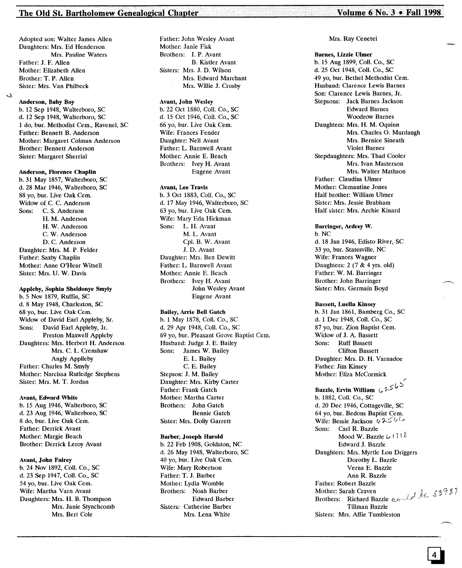#### The Old St. Bartholomew Genealogical Chapter Volume 6 No. 3 • Fall 1998

Adopted son: Walter James Allen Daughters: Mrs. Ed Henderson Mrs. Pauline Waters Father: J. F. Allen Mother: Elizabeth Allen Brother: T. P. Allen Sister: Mrs. Van Philbeck

#### Anderson, Baby Boy

J.

b. 12 Sep 1948, Walterboro, SC d. 12 Sep 1948, Walterboro, SC 1 do, bur. Methodist Cern., Ravenel, SC Father: Bennett B. Anderson Mother: Margaret Colman Anderson Brother: Bennett Anderson Sister: Margaret Sherrial

#### Anderson, Florence Chaplin

b. 31 May 1857, Walterboro, SC d. 28 Mar 1946, Walterboro, SC 88 yo, bur. Live Oak Cem. Widow of C. C. Anderson Sons: C. S. Anderson H. M. Anderson H. W. Anderson C. W. Anderson D. C. Anderson Daughter: Mrs. M. P. Felder Father: Saxby Chaplin Mother: Anne O'Hear Witsell Sister: Mrs. U. W. Davis

#### Appleby, Sophia Sheldonye Smyly

b. 5 Nov 1879, Ruffin, SC d. 8 May 1948, Charleston, SC 68 yo, bur. Live Oak Cern. Widow of David Earl Appleby, Sr. Sons: David Earl Appleby, Jr. Preston Maxwell Appleby Daughters: Mrs. Herbert H. Anderson Mrs. C. L. Crenshaw Angly Applleby Father: Charles M. Smyly Mother: Narcissa Rutledge Stephens Sister: Mrs. M. T. Jordan

#### Avant, Edward White

b. 15 Aug 1946, Walterboro, SC d. 23 Aug 1946, Walterboro, SC 8 do, bur. Live Oak Cem. Father: Derrick Avant Mother: Margie Beach Brother: Derrick Leroy Avant

#### Avant, John Fairey

b. 24 Nov 1892, Coli. Co., SC d. 23 Sep 1947, Coli. Co., SC 54 yo, bur. Live Oak Cern. Wife: Martha Varn Avant Daughters: Mrs. H. B. Thompson Mrs. Janie Stynchcomb Mrs. Bert Cole

Father: John Wesley Avant Mother: Janie Fisk Brothers: I. P. Avant B. Kistler Avant Sisters: Mrs. J. D. Wilson Mrs. Edward Marchant Mrs. Willie J. Crosby

#### Avant, John Wesley

b. 22 Oct 1880, ColI. Co., SC d. 15 Oct 1946, ColI. Co., SC 66 yo, bur. Live Oak Cern. Wife: Frances Fender Daughter: Nell Avant Father: L. Barnwell Avant Mother: Annie E. Beach Brothers: Ivey H. Avant Eugene Avant

#### Avant, Lee Travis

b. 3 Oct 1883, Coli. Co., SC d. 17 May 1946, Walterboro, SC 63 yo, bur. Live Oak Cern. Wife: Mary Eda Hickman Sons: L. H. Avant M. L. Avant Cpl. B. W. Avant J. D. Avant Daughter: Mrs. Ben Dewitt Father: L. Barnwell Avant Mother: Annie E. Beach Brothers: Ivey H. Avant John Wesley Avant Eugene Avant

#### Bailey, Arrie Bell Gatch

b. 1 May 1878, Coli. Co., SC d. 29 Apr 1948, Coli. Co., SC 69 yo, bur. Pleasant Grove Baptist Cem. Husband: Judge J. E. Bailey Sons: James W. Bailey E. L. Bailey C. E. Bailey Stepson: J. M. Bailey Daughter: Mrs. Kirby Carter Father: Frank Gatch Mother: Martha Carter Brothers: John Gatch Bennie Gatch Sister: Mrs. Dolly Garrett

#### Barber, Joseph Harold

b. 22 Feb 1908, Goldston, NC d. 26 May 1948, Walterboro, SC 40 yo, bur. Live Oak Cem. Wife: Mary Robertson Father: T. J. Barber Mother: Lydia Womble Brothers: Noah Barber Edward Barber Sisters: Catherine Barber Mrs. Lena White

#### Mrs. Ray Cenetei

Barnes, Lizzie Ulmer b. 15 Aug 1899, Coli. Co., SC d. 25 Oct 1948, Coli. Co., SC 49 yo, bur. Bethel Methodist Cern. Husband: Clarence Lewis Barnes Son: Clarence Lewis Barnes, Jr. Stepsons: Jack Barnes Jackson Edward Barnes Woodrow Barnes Daughters: Mrs. H. M. Oquinn Mrs. Charles O. Murdaugh Mrs. Bernice Sineath Violet Barnes Stepdaughters: Mrs. Thad Cooler Mrs. Ivan Masterson Mrs. Walter Mathson Father: Claudius Ulmer Mother: Clemantine Jones Half brother: William Ulmer Sister: Mrs. Jessie Brabham Half sister: Mrs. Archie Kinard

Barringer, Ardrey W. b.NC d. 18 Jan 1946, Edisto River, SC 33 yo, bur. Statesville, NC Wife: Frances Wagner Daughters:  $2(7 \& 4 \text{ yrs. old})$ Father: W. M. Barringer Brother: John Barringer Sister: Mrs. Germain Boyd

#### Bassett, Luella Kinsey

b. 31 Jan 1861, Bamberg Co., SC d. 1 Dec 1948, Coli. Co., SC 87 yo, bur. Zion Baptist Cem. Widow of J. A. Bassett Sons: Ruff Bassett Clifton Bassett Daughter: Mrs. D. H. Varnadoe Father: Jim Kinsey Mother: Eliza McCormick Bazzle, Ervin William  $i \in \mathbb{Z}^{(n)}$ b. 1882, Coli. Co., SC d. 20 Dec 1946, Cottageville, SC 64 yo, bur. Bedons Baptist Cern. Wife: Bessie Jackson t, 2566 Sons: Carl R. Bazzle Mood W. Bazzle  $L$ <sup>1</sup> <sup>1</sup>  $\delta$ Edward J. Bazzle Daughters: Mrs. Myrtle Lou Driggers Dorothy L. Bazzle

Verna E. Bazzle Ann R. Bazzle Father: Robert Bazzle Mother: Sarah Craven Brothers: Richard Bazzle Tillman Bazzle Sisters: Mrs. Affie Tumbleston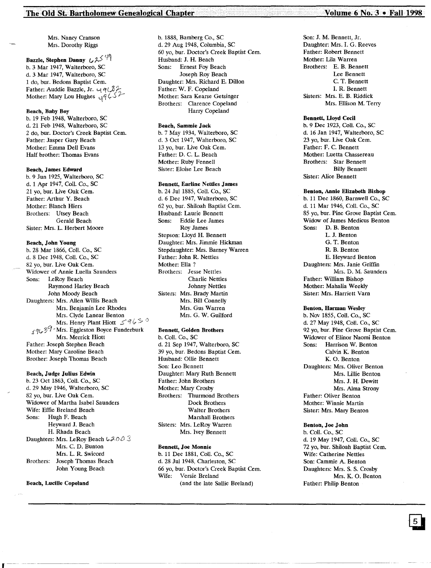Mrs. Nancy Cranson Mrs. Dorothy Riggs

#### Bazzle, Stephen Danny  $U^{2,1}$ b. 3 Mar 1947, Walterboro, SC d. 3 Mar 1947, Walterboro, SC 1 do, bur. Bedons Baptist Cern. Father: Auddie Bazzle, Jr.  $\cup q \subset \hat{\delta}$ ? Mother: Mary Lou Hughes  $\sqrt{q}$  /  $\sqrt{3}$

#### Beach, Baby Boy

b. 19 Feb 1948, Walterboro, SC d. 21 Feb 1948, Walterboro, SC 2 do, bur. Doctor's Creek Baptist Cem. Father: Jasper Gary Beach Mother: Emma Dell Evans Half brother: Thomas Evans

#### Beach, James Edward

b. 9 Jun 1925, Walterboro, SC d. 1 Apr 1947, Coli. Co., SC 21 vo, bur. Live Oak Cem. Father: Arthur Y. Beach Mother: Blanch Hiers Brothers: Utsey Beach Gerald Beach Sister: Mrs. L. Herbert Moore

#### Beach, John Young

b. 28 Mar 1866, Coil. Co., SC d. 8 Dec 1948, ColI. Co., SC 82 yo, bur. Live Oak Cem. Widower of Annie Luella Saunders Sons: LeRoy Beach Raymond Harley Beach John Moody Beach Daughters: Mrs. Allen Willis Beach Mrs. Benjamin Lee Rhodes Mrs. Clvde Lanear Benton Mrs. Henry Plant Hiott  $\leq$  9 $\zeta$   $\stackrel{\frown}{\sim}$   $\stackrel{\frown}{\sim}$  $\frac{4963}{7}$  Mrs. Eggleston Boyce Funderburk Mrs. Merrick Hiott Father: Joseph Stephen Beach Mother: Mary Caroline Beach Brother: Joseph Thomas Beach

#### Beach, Judge Julius Edwin

b. 23 Oct 1863, Coil. Co., SC d. 29 May 1946, Walterboro, SC 82 yo, bur. Live Oak Cem. Widower of Martha Isabel Saunders Wife: Effie Breland Beach Sons: Hugh F. Beach Heyward J. Beach H. Rhada Beach Daughters: Mrs. LeRoy Beach  $6200$ Mrs. C. D. Bunton Mrs. L. R. Swicord Brothers: Joseph Thomas Beach John Young Beach

Beach, Lucille Copeland

b. 1888, Bamberg Co., SC d. 29 Aug 1948, Columbia, SC 60 yo, bur. Doctor's Creek Baptist Cern. Husband: J. H. Beach Sons: Ernest Foy Beach Joseph Roy Beach Daughter: Mrs. Richard E. Dillon Father: W. F. Copeland Mother: Sara Kearse Getsinger Brothers: Oarence Copeland Harry Copeland

#### Beach, Sammie Jack

b. 7 May 1934, Walterboro, SC d. 3 Oct 1947, Walterboro, SC 13 yo, bur. Live Oak Cem. Father: D. C. L. Beach Mother: Ruby Fennell Sister: Eloise Lee Beach

#### Bennett, Earline Nettles James

b. 24 Jul 1885, Coil. Co., SC d. 6 Dee 1947, Walterboro, SC 62 yo, bur. Shiloah Baptist Cern. Husband: Laurie Bennett Sons: Eddie Lee James Roy James Stepson: Uoyd H. Bennett Daughter: Mrs. Jimmie Hickman Stepdaughter: Mrs. Barney Warren Father: John R. Nettles Mother: Ella? Brothers: Jesse Nettles Charlie Nettles Johnny Nettles Sisters: Mrs. Brady Martin Mrs. Bill Connelly Mrs. Gus Warren Mrs. G. W. Guilford

#### Bennett, Golden Brothers

b. ColI. Co., SC d. 21 Sep 1947, Walterboro, SC 39 yo, bur. Bedons Baptist Cern. Husband: Ollie Bennett Son: Leo Bennett Daughter: Mary Ruth Bennett Father: John Brothers Mother: Mary Crosby Brothers: Thurmond Brothers Dock Brothers Walter Brothers Marshall Brothers Sisters: Mrs. LeRoy Warren Mrs. Ivey Bennett

#### Bennett, Joe Monnie

b. 11 Dee 1881, Coil. Co., SC d. 28 Jul 1948, Charleston, SC 66 yo, bur. Doctor's Creek Baptist Cem.<br>Wife: Versie Breland Versie Breland (and the late Sallie Breland)

Son: J. M. Bennett, Jr. Daughter: Mrs. I. G. Reeves Father: Robert Bennett Mother: Lila Warren Brothers: E. B. Bennett Lee Bennett C. T. Bennett 1. R. Bennett Sisters: Mrs. E. B. Riddick Mrs. Ellison M. Terry

#### Bennett. lloyd Cecil

b. 9 Dec 1923, Coil. Co., SC d. 16 Jan 1947, Walterboro, SC 23 yo, bur. Live Oak Cem. Father: F. C. Bennett Mother: Luetta Chassereau Brothers: Star Bennett Billy Bennett Sister: Alice Bennett

#### Benton, Annie Elizabeth Bishop

b. 11 Dee 1860, Barnwell Co., SC d. 11 Mar 1946, Coli. Co., SC 85 yo, bur. Pine Grove Baptist Cem. Widow of James Medicus Benton Sons: D. B. Benton L. J. Benton G. T. Benton R. B. Benton E. Heyward Benton Daughters: Mrs. Janie Griffin Mrs. D. M. Saunders Father: William Bishop Mother: Mahalia Weekly Sister: Mrs. Harriett Yarn

#### Benton, Harman Wesley

b. Nov 1855, Coil. Co., SC d. 27 May 1948, ColI. Co., SC 92 yo, bur. Pine Grove Baptist Cem. Widower of Elinor Naomi Benton Sons: Harrison W. Benton Calvin K. Benton K. O. Benton Daughters: Mrs. Oliver Benton Mrs. Lillie Benton Mrs. J. H. Dewitt Mrs. Alma Strony Father: Oliver Benton Mother: Winnie Martin Sister: Mrs. Mary Benton

#### Benton, Joe John

b. Coil. Co., SC d. 19 May 1947, Coil. Co., SC 72 yo, bur. Shiloah Baptist Cem. Wife: Catherine Nettles Son: Cammie A. Benton Daughters: Mrs. S. S. Crosby Mrs. K. O. Benton Father: Philip Benton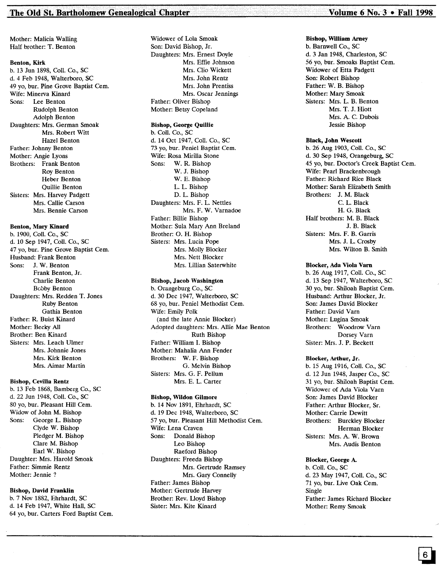#### The Old St. Bartholomew Genealogical Chapter Volume 6 No. 3 • Fall 1998

Mother: Malicia Walling Half brother: T. Benton

#### Benton, Kirk

b. 13 Jun 1898, Coli. Co., SC d.4 Feb 1948, Walterboro, SC 49 vo. bur. Pine Grove Baptist Cem. Wife: Minerva Kinard Sons: Lee Benton Rudolph Benton Adolph Benton Daughters: Mrs. German Smoak Mrs. Robert Witt Hazel Benton Father: Johnny Benton Mother: Angie Lyons Brothers: Frank Benton Roy Benton Heber Benton Quillie Benton Sisters: Mrs. Harvey Padgett Mrs. Callie Carson Mrs. Bennie Carson

#### Benton, Mary Kinard

b. 1900, ColI. Co., SC d. 10 Sep 1947, Coli. Co., SC 47 vo. bur. Pine Grove Baptist Cem. Husband: Frank Benton Sons: J. W. Benton Frank Benton, Jr. Charlie Benton Bobby Benton Daughters: Mrs. Redden T. Jones Ruby Benton Gathia Benton Father: R. Buist Kinard Mother: Becky All Brother: Ben Kinard Sisters: Mrs. Leach Ulmer Mrs. Johnnie Jones Mrs. Kirk Benton Mrs. Aimar Martin

#### Bishop, Cevilla Rentz

b. 13 Feb 1868, Bamberg Co., SC d. 22 Jun 1948, ColI. Co., SC 80 yo, bur. Pleasant Hill Cem. Widow of John M. Bishop<br>Sons: George L. Bishop George L. Bishop Clyde W. Bishop Pledger M. Bishop Clare M. Bishop Earl W. Bishop Daughter: Mrs. Harold Smoak Father: Simmie Rentz Mother: Jennie?

#### Bishop, David Franklin

b. 7 Nov 1882, Ehrhardt, SC d. 14 Feb 1947, White Hall, SC 64 yo, bur. Carters Ford Baptist Cem. Widower of Lola Smoak Son: David Bishop, Jr. Daughters: Mrs. Ernest Doyle Mrs. Effie Johnson Mrs. Clio Wickett Mrs. John Rentz Mrs. John Prentiss Mrs. Oscar Jennings Father: Oliver Bishop Mother: Betsy Copeland

#### Bishop, George Quillie

b. Coli. Co., SC d. 14 Oct 1947, ColI. Co., SC 73 yo, bur. Peniel Baptist Cem. Wife: Rosa Mirilla Stone Sons: W. R. Bishop W. J. Bishop W. E. Bishop L. L. Bishop D. L. Bishop Daughters: Mrs. F. L. Nettles Mrs. F. W. Varnadoe Father: Billie Bishop Mother: Sula Mary Ann Breland Brother: O. H. Bishop Sisters: Mrs. Lucia Pope Mrs. Molly Blocker Mrs. Nett Blocker Mrs. Lillian Saterwhite

#### Bishop, Jacob Washington

b. Orangeburg Co., SC d. 30 Dec 1947, Walterboro, SC 68 yo, bur. Peniel Methodist Cem. Wife: Emily Polk (and the late Annie Blocker) Adopted daughters: Mrs. Allie Mae Benton Ruth Bishop Father: William I. Bishop Mother: Mahalia Ann Fender Brothers: W. F. Bishop G. Melvin Bishop Sisters: Mrs. G. F. Pellum Mrs. E. L. Carter

#### Bishop, Wildon Gilmore

b. 14 Nov 1891, Ehrhardt, SC d. 19 Dec 1948, Walterboro, SC 57 yo, bur. Pleasant Hill Methodist Cem. Wife: Lena Craven Sons: Donald Bishop Leo Bishop Raeford Bishop Daughters: Freeda Bishop Mrs. Gertrude Ramsey Mrs. Gary Connelly Father: James Bishop Mother: Gertrude Harvey Brother: Rev. Lloyd Bishop Sister: Mrs. Kite Kinard

#### Bishop, William Arney

b. Barnwell Co., SC d. 3 Jan 1948, Charleston, SC 56 yo, bur. Smoaks Baptist Cem. Widower of Etta Padgett Son: Robert Bishop Father: W. B. Bishop Mother: Mary Smoak Sisters: Mrs. L. B. Benton Mrs. T. J. Hiott Mrs. A. C. Dubois Jessie Bishop

#### Black, John Wescott

b. 26 Aug 1903, ColI. Co., SC d. 30 Sep 1948, Orangeburg, SC 45 yo, bur. Doctor's Creek Baptist Cem. Wife: Pearl Brackenbrough Father: Richard Rice Black Mother: Sarah Elizabeth Smith Brothers: J. M. Black C. L. Black H. G. Black Half brothers: M. B. Black J. B. Black Sisters: Mrs. F. B. Garris Mrs. J. L. Crosby Mrs. Wilton B. Smith

#### Blocker, Ada Viola Vam

b. 26 Aug 1917, ColI. Co., SC d. 13 Sep 1947, Walterboro, SC 30 yo, bur. Shiloah Baptist Cern. Husband: Arthur Blocker, Jr. Son: James David Blocker Father: David Yarn Mother: Lugina Smoak Brothers: Woodrow Yarn Dorsey Yarn Sister: Mrs. J. P. Beckett

#### Blocker, Arthur, Jr.

b. 15 Aug 1916, Coli. Co., SC d. 12 Jun 1948, Jasper Co., SC 31 yo, bur. Shiloah Baptist Cern. Widower of Ada Viola Yarn Son: James David Blocker Father: Arthur Blocker, Sr. Mother: Carrie Dewitt Brothers: Burckley Blocker Herman Blocker Sisters: Mrs. A. W. Brown Mrs. Audis Benton

#### Blocker, George A.

b. ColI. Co., SC d. 23 May 1947, Coli. Co., SC 71 yo, bur. Live Oak Cern. Single Father: James Richard Blocker Mother: Remy Smoak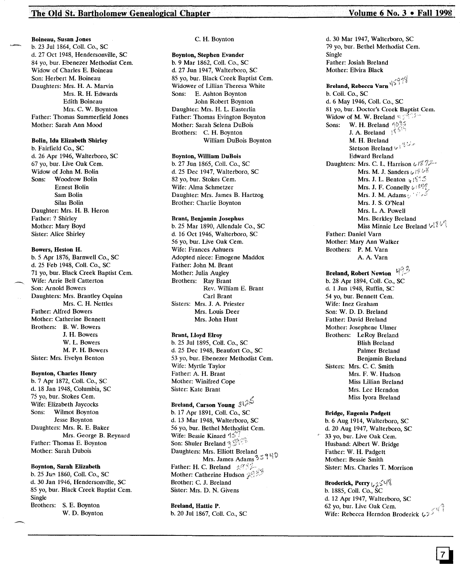#### Boineau, Susan Jones

b, 23 Jul 1864, ColI. Co., SC d. 27 Oct 1948, Hendersonville, SC 84 vo. bur. Ebenezer Methodist Cem. Widow of Charles E. Boineau Son: Herbert M. Boineau Daughters: Mrs. H. A. Marvin Mrs. R. H. Edwards Edith Boineau Mrs. C. W. Boynton Father: Thomas Summerfield Jones Mother: Sarah Ann Mood

#### Bolin, Ida Elizabeth Shirley

b. Fairfield Co., SC d. 26 Apr 1946, Walterboro, SC 67 yo, bur. Live Oak Cern. Widow of John M. Bolin Sons: Woodrow Bolin Ernest Bolin Sam Bolin Silas Bolin Daughter: Mrs. H. B. Heron Father: ? Shirley Mother: Mary Boyd Sister: Alice Shirley

#### Bowers, Heston H.

b. 5 Apr 1876, Barnwell Co., SC d. 25 Feb 1948, Coil. Co., SC 71 yo, bur. Black Creek Baptist Cern. Wife: Arrie Bell Catterton Son: Arnold Bowers Daughters: Mrs. Brantley Oquinn Mrs. C. H. Nettles Father: Alfred Bowers Mother: Catherine Bennett Brothers: B. W. Bowers J. H. Bowers W. L. Bowers M. P. H. Bowers Sister: Mrs. Evelyn Benton

#### Boynton, Charles Henry

b. 7 Apr 1872, Coll. Co., SC d. 18 Jan 1948, Columbia, SC 75 yo, bur. Stokes Cem. Wife: Elizabeth Jaycocks<br>Sons: Wilmot Boynton Wilmot Boynton Jesse Boynton Daughters: Mrs. R. E. Baker Mrs. George B. Reynard Father: Thomas E. Boynton Mother: Sarah Dubois

#### Boynton, Sarah Elizabeth

b. 25 Jun 1860, Coll. Co., SC d. 30 Jan 1946, Hendersonville, SC 85 yo, bur. Black Creek Baptist Cem. Single Brothers: S. E. Boynton W. D. Boynton

#### C. H. Boynton

#### Boynton, Stephen Evander b. 9 Mar 1862, Coil. Co., SC d. 27 Jun 1947, Walterboro, SC 85 vo, bur. Black Creek Baptist Cem. Widower of Lillian Theresa White Sons: E. Ashton Boynton John Robert Boynton Daughter: Mrs. H. L. Easterlin Father: Thomas Evington Boynton Mother: Sarah Selena DuBois Brothers: C. H. Boynton William DuBois Boynton

#### Boynton, William DuBois

b. 27 Jun 1865, ColI. Co., SC d. 25 Dec 1947, Walterboro, SC 82 yo, bur. Stokes Cem. Wife: Alma Schmetzer Daughter: Mrs. James B. Hartzog Brother: Charlie Boynton

#### Brant, Benjamin Josephus

b. 25 Mar 1890, Allendale Co., SC d. 16 Oct 1946, Walterboro, SC 56 yo, bur. Live Oak Cern. Wife: Frances Ashuers Adopted niece: Emogene Maddox Father: John M. Brant Mother: Julia Augley Brothers: Ray Brant Rev. William E. Brant Carl Brant Sisters: Mrs. J. A. Priester Mrs. Louis Deer Mrs. John Hunt

#### Brant, Lloyd Elroy

b. 25 Jul 1895, Coli. Co., SC d. 25 Dec 1948, Beaufort Co., SC 53 yo, bur. Ebenezer Methodist Cem. Wife: Myrtle Taylor Father: A. H. Brant Mother: Winifred Cope Sister: Kate Brant

# Breland, Carson Young 3125

b. 17 Apr 1891, Coll. Co., SC d. 13 Mar 1948, Walterboro, SC 56 yo, bur. Bethel Methodist Cern. Wife: Bessie Kinard  $15$ <sup>7</sup> Son: Shuler Breland  $\mathbb{S}^{\otimes n}$ Daughters: Mrs. Elliott Breland  $Mrs.$  James Adams  $35$  940 Father: H. C. Breland  $\frac{293}{7}$ Mother: Catherine Hudson Brother: C. J. Breland Sister: Mrs. D. N. Givens

#### Breland, Hattie P.

b. 20 Jul 1867, Coli. Co., SC

d. 30 Mar 1947, Walterboro, SC 79 yo, bur. Bethel Methodist Cem. Single Father: Josiah Breland Mother: Elvira Black Breland, Rebecca Varn  $\sqrt{5}$ <sup>99</sup> b. ColI. Co., SC d. 6 May 1946, Coll. Co., SC 81 yo, bur. Doctor's Creek Baptist Cem. Widow of M. W. Breland;' Sons: W. H. Breland J. A. Breland  $\sqrt[4]{5}$ M. H. Breland **Stetson Breland**  $\omega_1^{\alpha}$ Edward Breland Daughters: Mrs. C. L. Harrison  $\omega$ 1872 Mrs. M. J. Sanders  $\psi$ is  $\psi$ Mrs. J. L. Benton  $u \in \mathbb{S} \cap \mathbb{S}$ Mrs. J. F. Connelly  $\psi^{\dagger\beta}$ <sup>17</sup>/ Mrs. J. M. Adams Mrs. J. S. O'Neal Mrs. L. A. Powell Mrs. Berkley Breland Miss Minnie Lee Breland VI V Father: Daniel Yarn Mother: Mary Ann Walker Brothers: P. M. Yarn A. A. Yarn  $493$ Breland, Robert Newlon b. 28 Apr 1894, Coli. Co., SC d. 1 jun 1948, Ruffin, SC 54 yo, bur. Bennett Cem. Wife: Inez Graham Son: W. D. D. Breland Father: David Breland Mother: Josephene Ulmer Brothers: leRoy Breland Blish Breland Palmer Breland Benjamin Breland Sisters: Mrs. C. C. Smith Mrs. F. W. Hudson Miss Lillian Breland Mrs. Lee Herndon

#### Bridge, Eugenia Padgett b. 6 Aug 1914, Walterboro, SC

d. 20 Aug 1947, Walterboro, SC 33 yo, bur. Live Oak Cem. Husband: Albert W. Bridge Father: W. H. Padgett Mother: Bessie Smith Sister: Mrs. Charles T. Morrison

Miss Iyora Breland

Broderick, Perry  $L_4$   $\lesssim$   $1\%$ b. 1885, Coli. Co., SC d. 12 Apr 1947, Walterboro, SC<br>62 yo, bur. Live Oak Cem. 62 yo, bur. Live Oak Cern. Wife: Rebecca Herndon Broderick lr?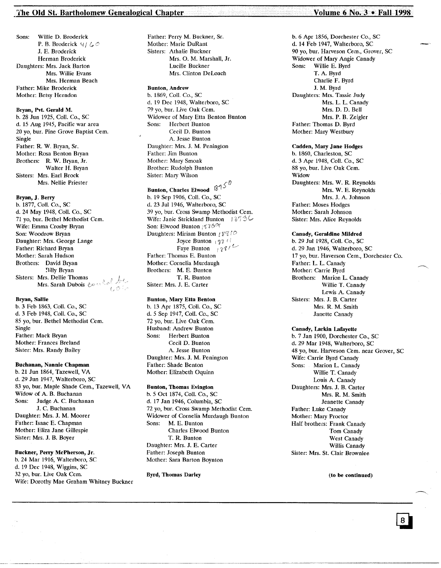#### The Old St. Bartholomew Genealogical Chapter The Chapter Volume 6 No. 3 • Fall 1998

Sons: Willie D. Broderick P. B. Broderick  $4/6$ J. E. Broderick Herman Broderick Daughters: Mrs. Jack Barton Mrs. Willie Evans Mrs. Herman Beach Father: Mike Broderick Mother: Betsy Herndon

Bryan, Pvt. Gerald M. b. 28 Jun 1925, Call. Co., SC d. 15 Aug 1945, Pacific war area 20 yo, bur. Pine Grove Baptist Cem. Single Father: R. W. Bryan, Sr. Mother: Rosa Benton Bryan Brothers: R. W. Bryan, Jr. Walter H. Bryan Sisters: Mrs. Earl Brock Mrs. Nellie Priester

#### Bryan, J. Berry

b. 1877, Call. Co., SC d. 24 May 1948, Call. Co., SC 71 yo, bur. Bethel Methodist Cem. Wife: Emma Crosby Bryan Son: Woodrow Bryan Daughter: Mrs. George Lange Father: Richard Bryan Mother: Sarah Hudson Brothers: David Bryan Billy Bryan Sisters: Mrs. Dellie Thomas Mrs. Sarah Dubois exercise des de t,øir

#### Bryan, Sallie

b. 3 Feb 1863, Coll. Co., SC d. 3 Feb 1948, Call. Co., SC 85 yo, bur. Bethel Methodist Cem. Single Father: Mack Bryan Mother: Frances Breland Sister: Mrs. Randy Bailey

#### Buchanan, Nannie Chapman

b. 21 Jun 1864, Tazewell, VA d. 29 Jun 1947, Walterboro, SC 83 yo, bur. Maple Shade Cern., Tazewell, VA Widow of A. B. Buchanan Sons: Judge A. C. Buchanan J. C. Buchanan Daughter: Mrs. J. M. Moorer Father: Isaac E. Chapman Mother: Eliza Jane Gillespie Sister: Mrs. J. B. Boyer

#### Buckner, Perry McPherson, Jr.

b. 24 Mar 1916, Walterboro, SC d. 19 Dec 1948, Wiggins, SC 32 yo, bur. Live Oak Cem. Wife: Dorothy Mae Graham Whitney Buckner Father: Perry M. Buckner, Sr. Mother: Marie DuRant Sisters: Athalie Buckner Mrs. O. M. Marshall, Jr. Lucille Buckner Mrs. Clinton Deloach

Bunton, Andrew b. 1869, Coli. Co., SC d. 19 Dec 1948, Walterboro, SC 79 yo, bur. Live Oak Cem. Widower of Mary Etta Benton Bunton Sons: Herbert Bunton Cecil D. Bunton A. Jesse Bunton Daughter: Mrs. J. M. Penington Father: Jim Bunton Mother: Mary Smoak Brother: Rudolph Bunton Sister: Mary Wilson

#### rO Bunton, Charles Elwood  $8^{12}$

b. 19 Sep 1906, Call. Co., SC d. 23 Jul 1946, Walterboro, SC<br>39 yo, bur. Cross Swamp Methodist Cem.  $39$  yo, bur. Cross Swamp Methodist Cem.<br>Wife: Janie Strickland Bunton  $-18736$ Son: Elwood Bunton 3762 Daughters: Miriam Bunton *t*  $\frac{1}{2}$ <sup>2</sup> <sup>*t*</sup> *i*<sup>0</sup> Joyce Bunton  $\frac{1}{2}$   $\frac{1}{2}$ Faye Bunton  $\frac{1}{\sqrt{2}}$   $\sqrt{2}$ Father: Thomas E. Bunton Mother: Cornelia Murdaugh Brothers: M. E. Bunten T. R. Bunton Sister: Mrs. J. E. Carter

#### Bunton, Mary Etla Benton

b. 13 Apr 1875, Coil. Co., SC d. 5 Sep 1947, Coli. Co., SC 72 yo, bur. Live Oak Cern. Husband: Andrew Bunton Sons: Herbert Bunton Cecil D. Bunton A. Jesse Bunton Daughter: Mrs. J. M. Penington Father: Shade Benton Mother: Elizabeth Oquinn

#### Bunton, Thomas Evington

b. 5 Oct 1874, Coli. Co., SC d. 17 Jan 1946, Columbia, SC 72 yo, bur. Cross Swamp Methodist Cern. Widower of Cornelia Murdaugh Bunton<br>Sons: M. E. Bunton M. E. Bunton Charles Elwood Bunton T. R. Bunton Daughter: Mrs. J. E. Carter Father: Joseph Bunton Mother: Sara Barton Boynton

,,~-----~---'-------\_. \_.\_-\_.\_~---' ----------------~ ..\_.\_-------------- '.\_-----------------

#### Byrd, Thomas Darley

b. 6 Apr 1856, Dorchester Co., SC d. 14 Feb 1947, Walterboro, SC 90 yo, bur. Harveson Cem., Grover, SC Widower of Mary Angie Canady Sons: Willie E. Byrd T. A. Byrd Charlie F. Byrd J. M. Byrd Daughters: Mrs. Tassie Judy Mrs. L. L. Canady Mrs. D. D. Bell Mrs. P. B. Zeigler Father: Thomas D. Byrd Mother: Mary Westbury

#### Cadden, Mary Jane Hodges

b. 1860, Charleston, SC d. 3 Apr 1948, Coli. Co., SC 88 yo, bur. Live Oak Cem. Widow Daughters: Mrs. W. R. Reynolds Mrs. W. E. Reynolds Mrs. J. A. Johnson Father: Moses Hodges Mother: Sarah Johnson Sister: Mrs. Alice Reynolds

#### Canady, Geraldine Mildred

b. 29 Jul 1928, Coil. Co., SC d. 29 Jan 1946, Walterboro, SC 17 yo, bur. Haverson Cern., Dorchester Co. Father: L. L. Canady Mother: Carrie Byrd Brothers: Marion L. Canady Willie T. Canady Lewis A. Canady Sisters: Mrs. J. B. Carter Mrs. R. M. Smith Janette Canady

#### Canady, Larkin Lafayette

b. 7 Jan 1900, Dorchester Co., SC d. 29 Mar 1948, Walterboro, SC 48 yo, bur. Harveson Cem. near Grover, SC Wife: Carrie Byrd Canady Sons: Marion L. Canady Willie T. Canady Louis A. Canady Daughters: Mrs. J. B. Carter Mrs. R. M. Smith Jeanette Canady Father: Luke Canady Mother: Mary Proctor Half brothers: Frank Canady Tom Canady West Canady Willis Canady Sister: Mrs. St. Clair Brownlee

#### (to be continued)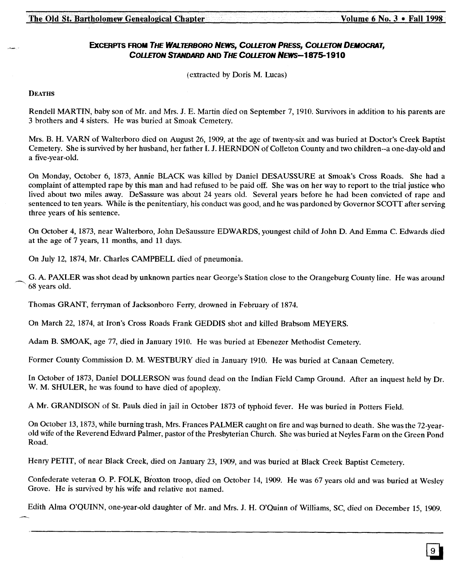#### **EXCERPTS FROM THE WALTERBORO NEWS, COLLETON PRESS, COLLETON DEMOCRAT,** COUETON STANDARD AND *THE* COUETON *NEWS-1875-191* 0

(extracted by Doris M. Lucas)

#### **DEATHS**

Rendell MARTIN, baby son of Mr. and Mrs. J. E. Martin died on September 7, 1910. Survivors in addition to his parents are 3 brothers and 4 sisters. He was buried at Smoak Cemetery.

Mrs. B. H. VARN of Walterboro died on August 26, 1909, at the age of twenty-six and was buried at Doctor's Creek Baptist Cemetery. She is survived by her husband, her father I. J. HERNDON of Colleton County and two children--a one-day-old and a five-year-old.

On Monday, October 6, 1873, Annie BLACK was killed by Daniel DESAUSSURE at Smoak's Cross Roads. She had a complaint of attempted rape by this man and had refused to be paid off. She was on her way to report to the trial justice who lived about two miles away. DeSassure was about 24 years old. Several years before he had been convicted of rape and sentenced to ten years. While is the penitentiary, his conduct was good, and he was pardoned by Governor SCOTT after serving three years of his sentence.

On October 4,1873, near Walterboro, John DeSaussure EDWARDS, youngest child of John D. And Emma C. Edwards died at the age of 7 years, 11 months, and 11 days.

On July 12, 1874, Mr. Charles CAMPBELL died of pneumonia.

G. A. PAXLER was shot dead by unknown parties near George's Station close to the Orangeburg County line. He was around 68 years old.

Thomas GRANT, ferryman of Jacksonboro Ferry, drowned in February of 1874.

On March 22, 1874, at Iron's Cross Roads Frank GEDDIS shot and killed Brabsom MEYERS.

Adam B. SMOAK, age 77, died in January 1910. He was buried at Ebenezer Methodist Cemetery.

Former County Commission D. M. WESTBURY died in January 1910. He was buried at Canaan Cemetery.

In October of 1873, Daniel DOLLERSON was found dead on the Indian Field Camp Ground. After an inquest held by Dr. W. M. SHULER, he was found to have died of apoplexy.

A Mr. GRANDISON of St. Pauls died in jail in October 1873 of typhoid fever. He was buried in Potters Field.

On October 13, 1873, while burning trash, Mrs. Frances PALMER caught on fire and was burned to death. She was the 72-yearold wife of the Reverend Edward Palmer, pastor of the Presbyterian Church. She was buried at Neyles Farm on the Green Pond Road.

Henry PETIT, of near Black Creek, died on January 23, 1909, and was buried at Black Creek Baptist Cemetery.

Confederate veteran O. P. FOLK, Broxton troop, died on October 14, 1909. He was 67 years old and was buried at Wesley Grove. He is survived by his wife and relative not named.

Edith Alma O'QUINN, one-year-old daughter of Mr. and Mrs. J. H. O'Quinn of Williams, SC, died on December 15, 1909.